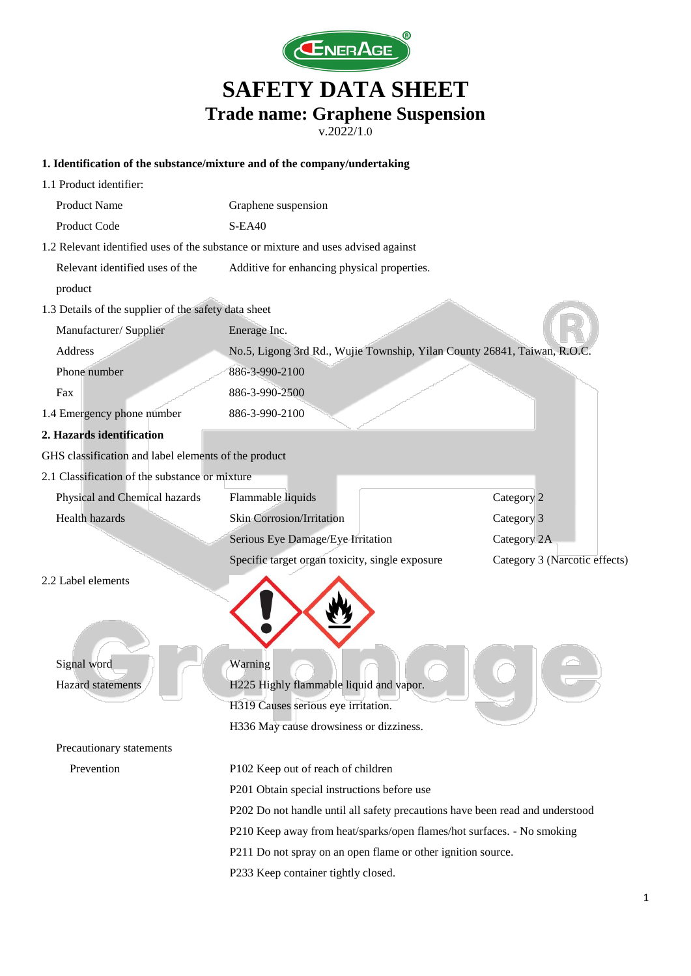

v.2022/1.0

#### **1. Identification of the substance/mixture and of the company/undertaking**

| 1.1 Product identifier:                                                           |                                                                               |                               |  |
|-----------------------------------------------------------------------------------|-------------------------------------------------------------------------------|-------------------------------|--|
| <b>Product Name</b>                                                               | Graphene suspension                                                           |                               |  |
| Product Code                                                                      | <b>S-EA40</b>                                                                 |                               |  |
| 1.2 Relevant identified uses of the substance or mixture and uses advised against |                                                                               |                               |  |
| Relevant identified uses of the                                                   | Additive for enhancing physical properties.                                   |                               |  |
| product                                                                           |                                                                               |                               |  |
| 1.3 Details of the supplier of the safety data sheet                              |                                                                               |                               |  |
| Manufacturer/Supplier                                                             | Enerage Inc.                                                                  |                               |  |
| Address                                                                           | No.5, Ligong 3rd Rd., Wujie Township, Yilan County 26841, Taiwan, R.O.C       |                               |  |
| Phone number                                                                      | 886-3-990-2100                                                                |                               |  |
| Fax                                                                               | 886-3-990-2500                                                                |                               |  |
| 1.4 Emergency phone number                                                        | 886-3-990-2100                                                                |                               |  |
| 2. Hazards identification                                                         |                                                                               |                               |  |
| GHS classification and label elements of the product                              |                                                                               |                               |  |
| 2.1 Classification of the substance or mixture                                    |                                                                               |                               |  |
| Physical and Chemical hazards                                                     | Flammable liquids                                                             | Category 2                    |  |
| Health hazards                                                                    | <b>Skin Corrosion/Irritation</b>                                              | Category 3                    |  |
|                                                                                   | Serious Eye Damage/Eye Irritation                                             | Category 2A                   |  |
|                                                                                   | Specific target organ toxicity, single exposure                               | Category 3 (Narcotic effects) |  |
| 2.2 Label elements                                                                |                                                                               |                               |  |
|                                                                                   |                                                                               |                               |  |
| Signal word                                                                       | Warning                                                                       |                               |  |
| <b>Hazard</b> statements                                                          | H225 Highly flammable liquid and vapor.                                       |                               |  |
|                                                                                   | H319 Causes serious eye irritation.                                           |                               |  |
|                                                                                   | H336 May cause drowsiness or dizziness.                                       |                               |  |
| Precautionary statements                                                          |                                                                               |                               |  |
| Prevention                                                                        | P102 Keep out of reach of children                                            |                               |  |
|                                                                                   | P201 Obtain special instructions before use                                   |                               |  |
|                                                                                   | P202 Do not handle until all safety precautions have been read and understood |                               |  |
|                                                                                   | P210 Keep away from heat/sparks/open flames/hot surfaces. - No smoking        |                               |  |
|                                                                                   | P211 Do not spray on an open flame or other ignition source.                  |                               |  |
|                                                                                   | P233 Keep container tightly closed.                                           |                               |  |
|                                                                                   |                                                                               |                               |  |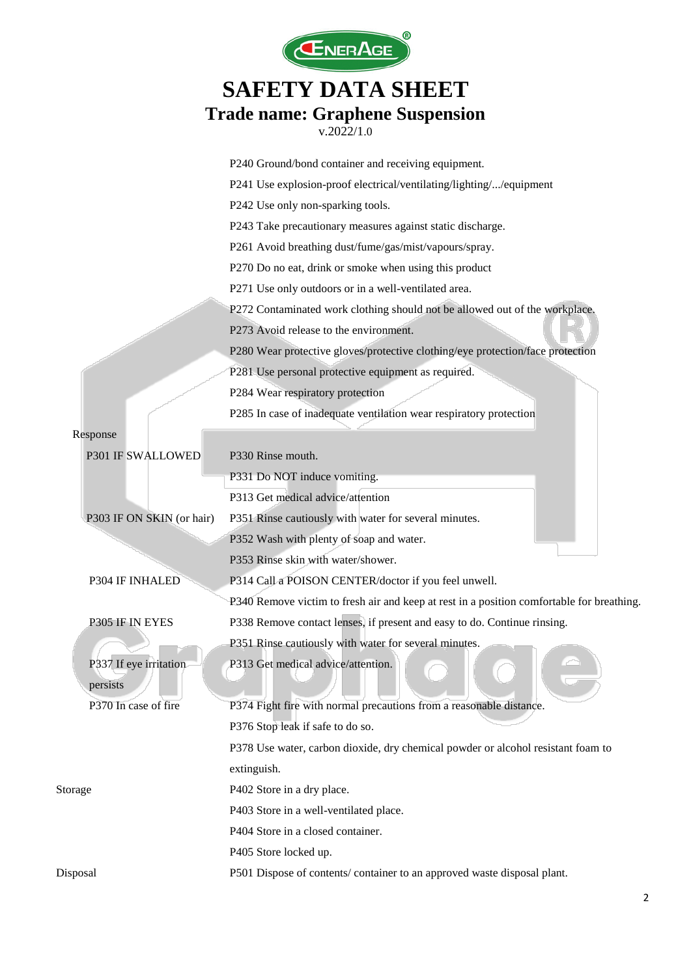

|                           | P240 Ground/bond container and receiving equipment.                                      |
|---------------------------|------------------------------------------------------------------------------------------|
|                           | P241 Use explosion-proof electrical/ventilating/lighting//equipment                      |
|                           | P242 Use only non-sparking tools.                                                        |
|                           | P243 Take precautionary measures against static discharge.                               |
|                           | P261 Avoid breathing dust/fume/gas/mist/vapours/spray.                                   |
|                           | P270 Do no eat, drink or smoke when using this product                                   |
|                           | P271 Use only outdoors or in a well-ventilated area.                                     |
|                           | P272 Contaminated work clothing should not be allowed out of the workplace.              |
|                           | P273 Avoid release to the environment.                                                   |
|                           | P280 Wear protective gloves/protective clothing/eye protection/face protection           |
|                           | P281 Use personal protective equipment as required.                                      |
|                           | P284 Wear respiratory protection                                                         |
|                           | P285 In case of inadequate ventilation wear respiratory protection                       |
| Response                  |                                                                                          |
| P301 IF SWALLOWED         | P330 Rinse mouth.                                                                        |
|                           | P331 Do NOT induce vomiting.                                                             |
|                           | P313 Get medical advice/attention                                                        |
| P303 IF ON SKIN (or hair) | P351 Rinse cautiously with water for several minutes.                                    |
|                           | P352 Wash with plenty of soap and water.                                                 |
|                           | P353 Rinse skin with water/shower.                                                       |
| P304 IF INHALED           | P314 Call a POISON CENTER/doctor if you feel unwell.                                     |
|                           | P340 Remove victim to fresh air and keep at rest in a position comfortable for breathing |
| P305 IF IN EYES           | P338 Remove contact lenses, if present and easy to do. Continue rinsing.                 |
|                           | P351 Rinse cautiously with water for several minutes.                                    |
| P337 If eye irritation    | P313 Get medical advice/attention.                                                       |
| persists                  |                                                                                          |
| P370 In case of fire      | P374 Fight fire with normal precautions from a reasonable distance.                      |
|                           | P376 Stop leak if safe to do so.                                                         |
|                           | P378 Use water, carbon dioxide, dry chemical powder or alcohol resistant foam to         |
|                           | extinguish.                                                                              |
| Storage                   | P402 Store in a dry place.                                                               |
|                           | P403 Store in a well-ventilated place.                                                   |
|                           | P404 Store in a closed container.                                                        |
|                           | P405 Store locked up.                                                                    |
| Disposal                  | P501 Dispose of contents/ container to an approved waste disposal plant.                 |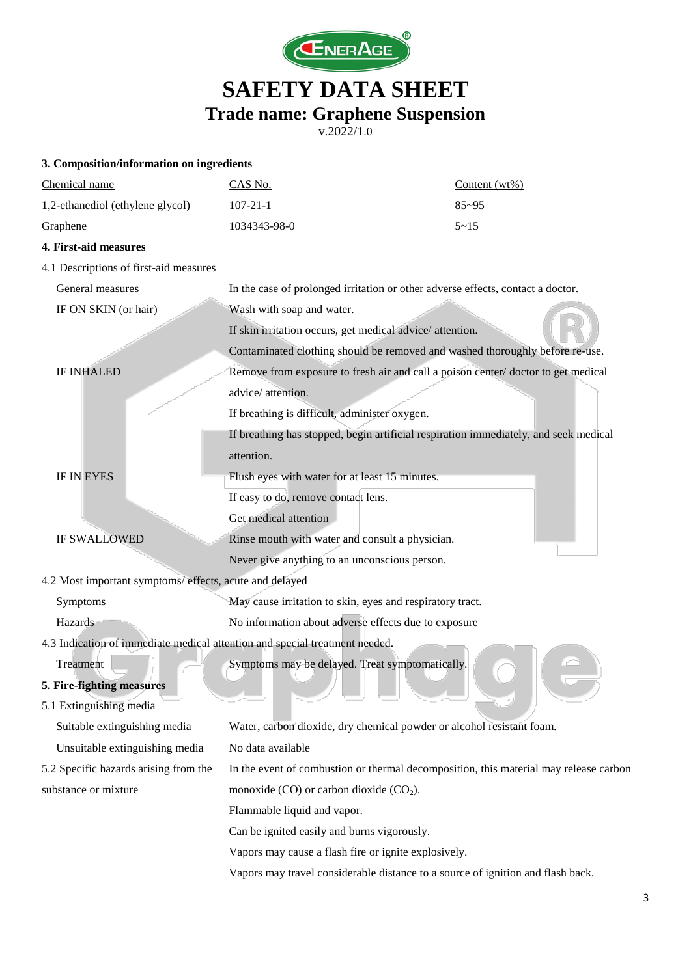

| 3. Composition/information on ingredients                                   |                                                                                       |                  |  |
|-----------------------------------------------------------------------------|---------------------------------------------------------------------------------------|------------------|--|
| Chemical name                                                               | CAS No.                                                                               | Content $(wt\%)$ |  |
| 1,2-ethanediol (ethylene glycol)                                            | $107 - 21 - 1$                                                                        | $85 - 95$        |  |
| Graphene                                                                    | 1034343-98-0                                                                          | $5 - 15$         |  |
| 4. First-aid measures                                                       |                                                                                       |                  |  |
| 4.1 Descriptions of first-aid measures                                      |                                                                                       |                  |  |
| General measures                                                            | In the case of prolonged irritation or other adverse effects, contact a doctor.       |                  |  |
| IF ON SKIN (or hair)                                                        | Wash with soap and water.                                                             |                  |  |
|                                                                             | If skin irritation occurs, get medical advice/attention.                              |                  |  |
|                                                                             | Contaminated clothing should be removed and washed thoroughly before re-use.          |                  |  |
| <b>IF INHALED</b>                                                           | Remove from exposure to fresh air and call a poison center/doctor to get medical      |                  |  |
|                                                                             | advice/attention.                                                                     |                  |  |
|                                                                             | If breathing is difficult, administer oxygen.                                         |                  |  |
|                                                                             | If breathing has stopped, begin artificial respiration immediately, and seek medical  |                  |  |
|                                                                             | attention.                                                                            |                  |  |
| <b>IF IN EYES</b>                                                           | Flush eyes with water for at least 15 minutes.                                        |                  |  |
|                                                                             | If easy to do, remove contact lens.                                                   |                  |  |
|                                                                             | Get medical attention                                                                 |                  |  |
| <b>IF SWALLOWED</b>                                                         | Rinse mouth with water and consult a physician.                                       |                  |  |
|                                                                             | Never give anything to an unconscious person.                                         |                  |  |
| 4.2 Most important symptoms/ effects, acute and delayed                     |                                                                                       |                  |  |
| Symptoms                                                                    | May cause irritation to skin, eyes and respiratory tract.                             |                  |  |
| Hazards                                                                     | No information about adverse effects due to exposure                                  |                  |  |
| 4.3 Indication of immediate medical attention and special treatment needed. |                                                                                       |                  |  |
| Treatment                                                                   | Symptoms may be delayed. Treat symptomatically.                                       |                  |  |
| 5. Fire-fighting measures                                                   |                                                                                       |                  |  |
| 5.1 Extinguishing media                                                     |                                                                                       |                  |  |
| Suitable extinguishing media                                                | Water, carbon dioxide, dry chemical powder or alcohol resistant foam.                 |                  |  |
| Unsuitable extinguishing media                                              | No data available                                                                     |                  |  |
| 5.2 Specific hazards arising from the                                       | In the event of combustion or thermal decomposition, this material may release carbon |                  |  |
| substance or mixture                                                        | monoxide $(CO)$ or carbon dioxide $(CO2)$ .                                           |                  |  |
|                                                                             | Flammable liquid and vapor.                                                           |                  |  |
|                                                                             | Can be ignited easily and burns vigorously.                                           |                  |  |
|                                                                             | Vapors may cause a flash fire or ignite explosively.                                  |                  |  |
|                                                                             | Vapors may travel considerable distance to a source of ignition and flash back.       |                  |  |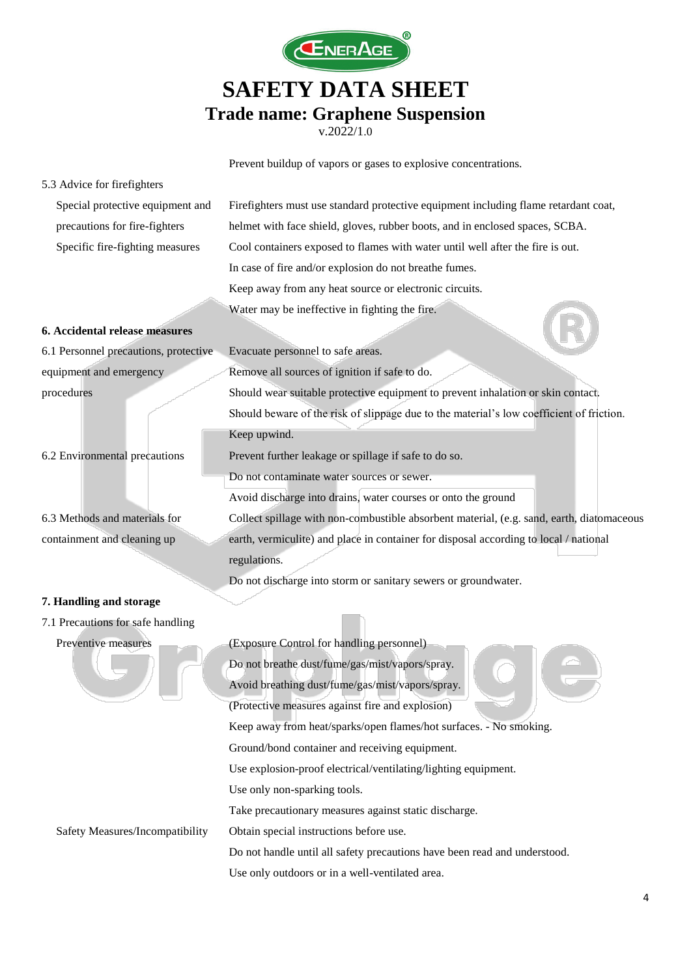

v.2022/1.0

Prevent buildup of vapors or gases to explosive concentrations.

| 5.3 Advice for firefighters           |                                                                                           |  |
|---------------------------------------|-------------------------------------------------------------------------------------------|--|
| Special protective equipment and      | Firefighters must use standard protective equipment including flame retardant coat,       |  |
| precautions for fire-fighters         | helmet with face shield, gloves, rubber boots, and in enclosed spaces, SCBA.              |  |
| Specific fire-fighting measures       | Cool containers exposed to flames with water until well after the fire is out.            |  |
|                                       | In case of fire and/or explosion do not breathe fumes.                                    |  |
|                                       | Keep away from any heat source or electronic circuits.                                    |  |
|                                       | Water may be ineffective in fighting the fire.                                            |  |
| 6. Accidental release measures        |                                                                                           |  |
| 6.1 Personnel precautions, protective | Evacuate personnel to safe areas.                                                         |  |
| equipment and emergency               | Remove all sources of ignition if safe to do.                                             |  |
| procedures                            | Should wear suitable protective equipment to prevent inhalation or skin contact.          |  |
|                                       | Should beware of the risk of slippage due to the material's low coefficient of friction.  |  |
|                                       | Keep upwind.                                                                              |  |
| 6.2 Environmental precautions         | Prevent further leakage or spillage if safe to do so.                                     |  |
|                                       | Do not contaminate water sources or sewer.                                                |  |
|                                       | Avoid discharge into drains, water courses or onto the ground                             |  |
| 6.3 Methods and materials for         | Collect spillage with non-combustible absorbent material, (e.g. sand, earth, diatomaceous |  |
| containment and cleaning up           | earth, vermiculite) and place in container for disposal according to local / national     |  |
|                                       | regulations.                                                                              |  |
|                                       | Do not discharge into storm or sanitary sewers or groundwater.                            |  |
| 7. Handling and storage               |                                                                                           |  |
| 7.1 Precautions for safe handling     |                                                                                           |  |
| Preventive measures                   | (Exposure Control for handling personnel)                                                 |  |
|                                       | Do not breathe dust/fume/gas/mist/vapors/spray.                                           |  |
|                                       | Avoid breathing dust/fume/gas/mist/vapors/spray.                                          |  |
|                                       | (Protective measures against fire and explosion)                                          |  |
|                                       | Keep away from heat/sparks/open flames/hot surfaces. - No smoking.                        |  |
|                                       | Ground/bond container and receiving equipment.                                            |  |
|                                       | Use explosion-proof electrical/ventilating/lighting equipment.                            |  |
|                                       | Use only non-sparking tools.                                                              |  |
|                                       | Take precautionary measures against static discharge.                                     |  |
| Safety Measures/Incompatibility       | Obtain special instructions before use.                                                   |  |
|                                       | Do not handle until all safety precautions have been read and understood.                 |  |
|                                       | Use only outdoors or in a well-ventilated area.                                           |  |
|                                       |                                                                                           |  |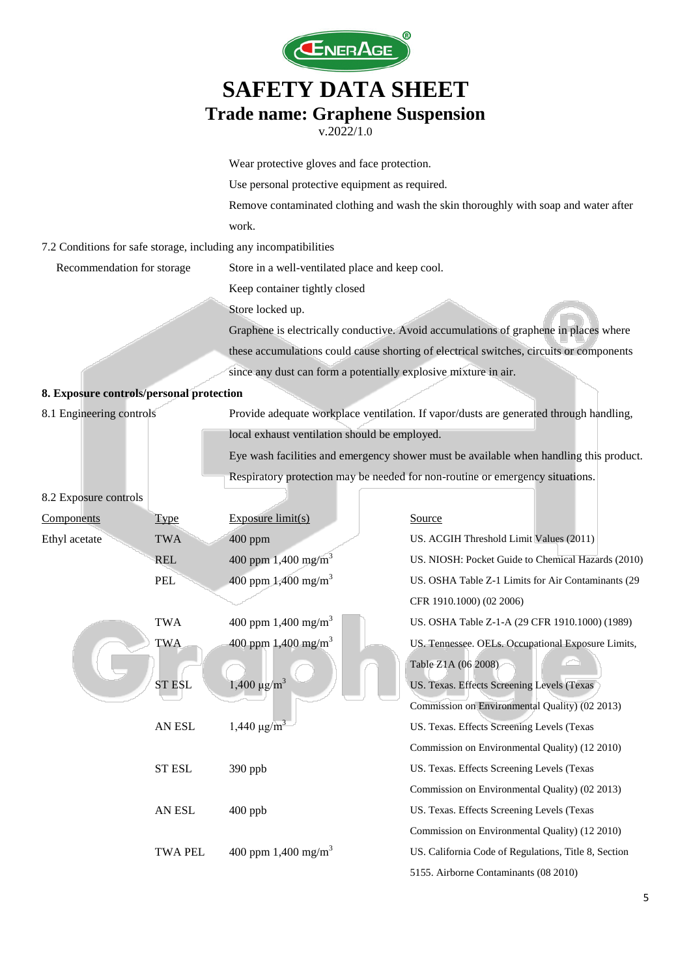

|                                          |                        | Wear protective gloves and face protection.                                            |                                                                                         |  |
|------------------------------------------|------------------------|----------------------------------------------------------------------------------------|-----------------------------------------------------------------------------------------|--|
|                                          |                        | Use personal protective equipment as required.                                         |                                                                                         |  |
|                                          |                        | Remove contaminated clothing and wash the skin thoroughly with soap and water after    |                                                                                         |  |
|                                          |                        | work.                                                                                  |                                                                                         |  |
|                                          |                        | 7.2 Conditions for safe storage, including any incompatibilities                       |                                                                                         |  |
| Recommendation for storage               |                        | Store in a well-ventilated place and keep cool.                                        |                                                                                         |  |
|                                          |                        | Keep container tightly closed                                                          |                                                                                         |  |
|                                          |                        | Store locked up.                                                                       |                                                                                         |  |
|                                          |                        |                                                                                        | Graphene is electrically conductive. Avoid accumulations of graphene in places where    |  |
|                                          |                        |                                                                                        | these accumulations could cause shorting of electrical switches, circuits or components |  |
|                                          |                        | since any dust can form a potentially explosive mixture in air.                        |                                                                                         |  |
| 8. Exposure controls/personal protection |                        |                                                                                        |                                                                                         |  |
| 8.1 Engineering controls                 |                        |                                                                                        | Provide adequate workplace ventilation. If vapor/dusts are generated through handling,  |  |
|                                          |                        | local exhaust ventilation should be employed.                                          |                                                                                         |  |
|                                          |                        | Eye wash facilities and emergency shower must be available when handling this product. |                                                                                         |  |
|                                          |                        | Respiratory protection may be needed for non-routine or emergency situations.          |                                                                                         |  |
| 8.2 Exposure controls                    |                        |                                                                                        |                                                                                         |  |
| Components                               | <b>Type</b>            | Exposure $limit(s)$                                                                    | Source                                                                                  |  |
| Ethyl acetate                            | <b>TWA</b>             | 400 ppm                                                                                | US. ACGIH Threshold Limit Values (2011)                                                 |  |
|                                          | <b>REL</b>             | 400 ppm $1,400$ mg/m <sup>3</sup>                                                      | US. NIOSH: Pocket Guide to Chemical Hazards (2010)                                      |  |
|                                          | PEL                    | 400 ppm $1,400$ mg/m <sup>3</sup>                                                      | US. OSHA Table Z-1 Limits for Air Contaminants (29                                      |  |
|                                          |                        |                                                                                        | CFR 1910.1000) (02 2006)                                                                |  |
|                                          | <b>TWA</b>             | 400 ppm 1,400 mg/m <sup>3</sup>                                                        | US. OSHA Table Z-1-A (29 CFR 1910.1000) (1989)                                          |  |
|                                          | <b>TWA</b>             | 400 ppm $1,400$ mg/m <sup>3</sup>                                                      | US. Tennessee. OELs. Occupational Exposure Limits,                                      |  |
|                                          |                        |                                                                                        | Table Z1A (06 2008)                                                                     |  |
|                                          | <b>ST ESL</b>          | $1,400 \mu g/m^3$                                                                      | US. Texas. Effects Screening Levels (Texas                                              |  |
|                                          |                        |                                                                                        | Commission on Environmental Quality) (02 2013)                                          |  |
|                                          | AN ESL                 | $1,440 \mu g/m^3$                                                                      | US. Texas. Effects Screening Levels (Texas                                              |  |
|                                          |                        |                                                                                        | Commission on Environmental Quality) (12 2010)                                          |  |
|                                          | <b>ST ESL</b>          | 390 ppb                                                                                | US. Texas. Effects Screening Levels (Texas                                              |  |
|                                          |                        |                                                                                        | Commission on Environmental Quality) (02 2013)                                          |  |
|                                          | ${\sf AN}$ ${\sf ESL}$ | 400 ppb                                                                                | US. Texas. Effects Screening Levels (Texas                                              |  |
|                                          |                        |                                                                                        | Commission on Environmental Quality) (12 2010)                                          |  |
|                                          | <b>TWA PEL</b>         | 400 ppm $1,400$ mg/m <sup>3</sup>                                                      | US. California Code of Regulations, Title 8, Section                                    |  |
|                                          |                        |                                                                                        | 5155. Airborne Contaminants (08 2010)                                                   |  |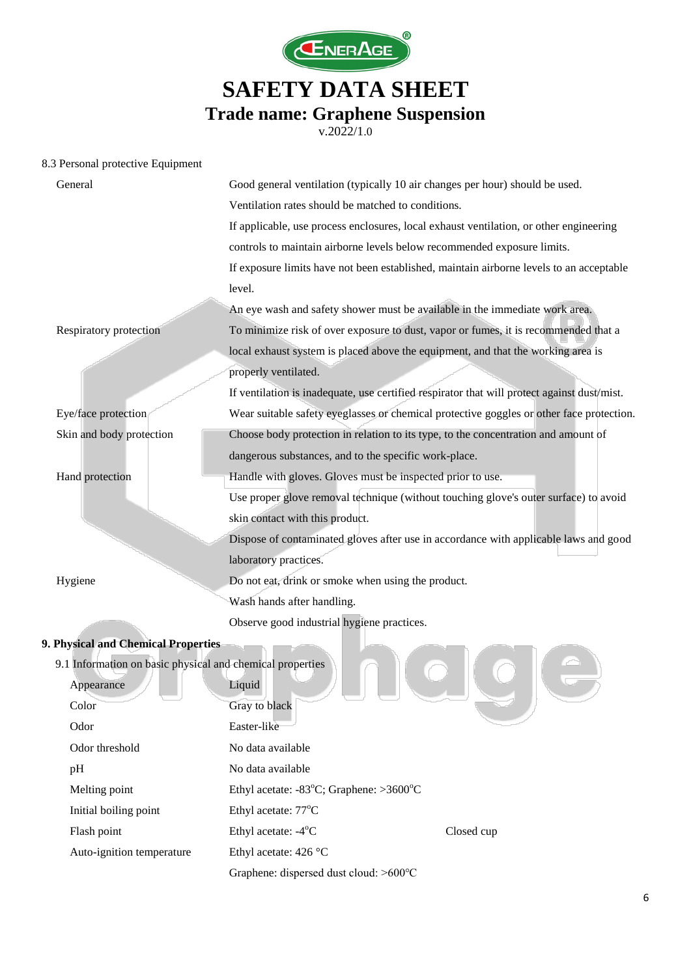

v.2022/1.0

#### 8.3 Personal protective Equipment

| General                                                   | Good general ventilation (typically 10 air changes per hour) should be used.                |  |
|-----------------------------------------------------------|---------------------------------------------------------------------------------------------|--|
|                                                           | Ventilation rates should be matched to conditions.                                          |  |
|                                                           | If applicable, use process enclosures, local exhaust ventilation, or other engineering      |  |
|                                                           | controls to maintain airborne levels below recommended exposure limits.                     |  |
|                                                           | If exposure limits have not been established, maintain airborne levels to an acceptable     |  |
|                                                           | level.                                                                                      |  |
|                                                           | An eye wash and safety shower must be available in the immediate work area.                 |  |
| Respiratory protection                                    | To minimize risk of over exposure to dust, vapor or fumes, it is recommended that a         |  |
|                                                           | local exhaust system is placed above the equipment, and that the working area is            |  |
|                                                           | properly ventilated.                                                                        |  |
|                                                           | If ventilation is inadequate, use certified respirator that will protect against dust/mist. |  |
| Eye/face protection                                       | Wear suitable safety eyeglasses or chemical protective goggles or other face protection.    |  |
| Skin and body protection                                  | Choose body protection in relation to its type, to the concentration and amount of          |  |
|                                                           | dangerous substances, and to the specific work-place.                                       |  |
| Hand protection                                           | Handle with gloves. Gloves must be inspected prior to use.                                  |  |
|                                                           | Use proper glove removal technique (without touching glove's outer surface) to avoid        |  |
|                                                           | skin contact with this product.                                                             |  |
|                                                           | Dispose of contaminated gloves after use in accordance with applicable laws and good        |  |
|                                                           | laboratory practices.                                                                       |  |
| Hygiene                                                   | Do not eat, drink or smoke when using the product.                                          |  |
|                                                           | Wash hands after handling.                                                                  |  |
|                                                           | Observe good industrial hygiene practices.                                                  |  |
| 9. Physical and Chemical Properties                       |                                                                                             |  |
| 9.1 Information on basic physical and chemical properties |                                                                                             |  |
| Appearance                                                | Liquid                                                                                      |  |
| Color                                                     | Gray to black                                                                               |  |
| Odor                                                      | Easter-like                                                                                 |  |
| Odor threshold                                            | No data available                                                                           |  |
| pH                                                        | No data available                                                                           |  |
| Melting point                                             | Ethyl acetate: $-83^{\circ}$ C; Graphene: $>3600^{\circ}$ C                                 |  |
| Initial boiling point                                     | Ethyl acetate: 77°C                                                                         |  |
| Flash point                                               | Ethyl acetate: -4°C<br>Closed cup                                                           |  |

Auto-ignition temperature Ethyl acetate: 426 °C

Graphene: dispersed dust cloud: >600℃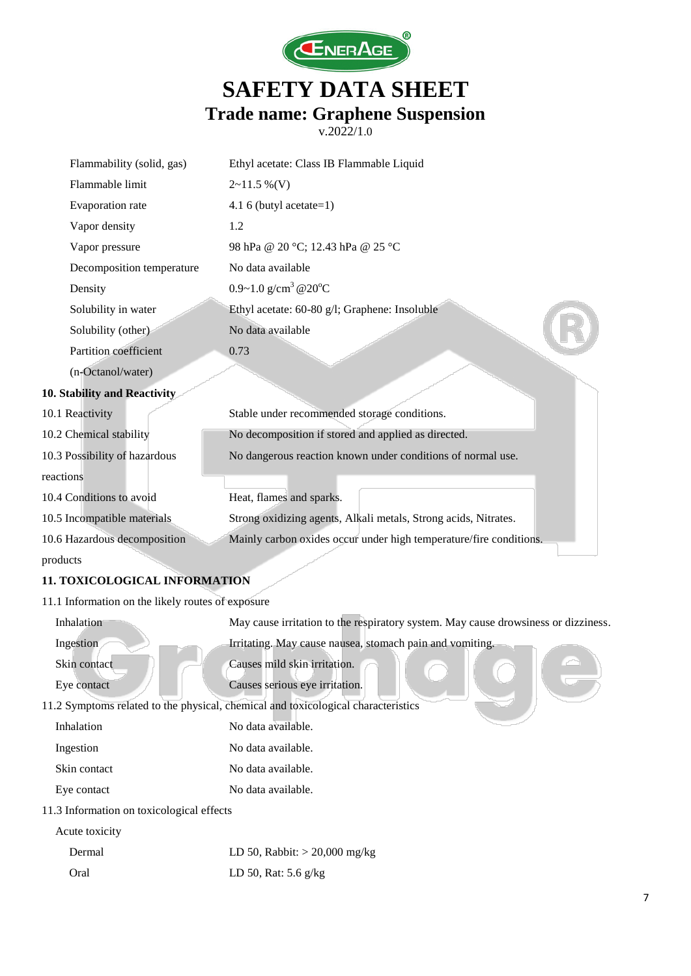

| Flammability (solid, gas)                         | Ethyl acetate: Class IB Flammable Liquid                                           |
|---------------------------------------------------|------------------------------------------------------------------------------------|
| Flammable limit                                   | $2 \sim 11.5 \%$ (V)                                                               |
| Evaporation rate                                  | 4.1 6 (butyl acetate= $1$ )                                                        |
| Vapor density                                     | 1.2                                                                                |
| Vapor pressure                                    | 98 hPa @ 20 °C; 12.43 hPa @ 25 °C                                                  |
| Decomposition temperature                         | No data available                                                                  |
| Density                                           | 0.9~1.0 g/cm <sup>3</sup> @20°C                                                    |
| Solubility in water                               | Ethyl acetate: 60-80 g/l; Graphene: Insoluble                                      |
| Solubility (other)                                | No data available                                                                  |
| Partition coefficient                             | 0.73                                                                               |
| (n-Octanol/water)                                 |                                                                                    |
| 10. Stability and Reactivity                      |                                                                                    |
| 10.1 Reactivity                                   | Stable under recommended storage conditions.                                       |
| 10.2 Chemical stability                           | No decomposition if stored and applied as directed.                                |
| 10.3 Possibility of hazardous                     | No dangerous reaction known under conditions of normal use.                        |
| reactions                                         |                                                                                    |
| 10.4 Conditions to avoid                          | Heat, flames and sparks.                                                           |
| 10.5 Incompatible materials                       | Strong oxidizing agents, Alkali metals, Strong acids, Nitrates.                    |
| 10.6 Hazardous decomposition                      | Mainly carbon oxides occur under high temperature/fire conditions.                 |
| products                                          |                                                                                    |
| 11. TOXICOLOGICAL INFORMATION                     |                                                                                    |
| 11.1 Information on the likely routes of exposure |                                                                                    |
| Inhalation                                        | May cause irritation to the respiratory system. May cause drowsiness or dizziness. |
| Ingestion                                         | Irritating. May cause nausea, stomach pain and vomiting.                           |
| Skin contact                                      | Causes mild skin irritation.                                                       |
| Eye contact                                       | Causes serious eye irritation.                                                     |
|                                                   | 11.2 Symptoms related to the physical, chemical and toxicological characteristics  |
| Inhalation                                        | No data available.                                                                 |
| Ingestion                                         | No data available.                                                                 |
| Skin contact                                      | No data available.                                                                 |
| Eye contact                                       | No data available.                                                                 |
| 11.3 Information on toxicological effects         |                                                                                    |
| Acute toxicity                                    |                                                                                    |
| Dermal                                            | LD 50, Rabbit: $>$ 20,000 mg/kg                                                    |
| Oral                                              | LD 50, Rat: 5.6 g/kg                                                               |
|                                                   |                                                                                    |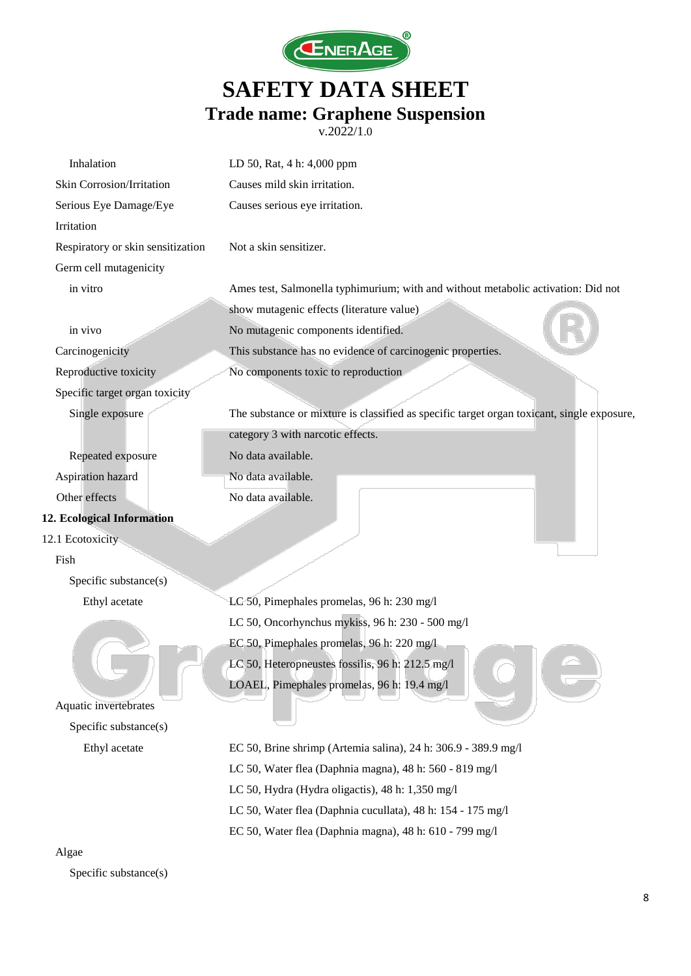

v.2022/1.0

| Inhalation                        | LD 50, Rat, 4 h: 4,000 ppm                                                                 |
|-----------------------------------|--------------------------------------------------------------------------------------------|
| Skin Corrosion/Irritation         | Causes mild skin irritation.                                                               |
| Serious Eye Damage/Eye            | Causes serious eye irritation.                                                             |
| Irritation                        |                                                                                            |
| Respiratory or skin sensitization | Not a skin sensitizer.                                                                     |
| Germ cell mutagenicity            |                                                                                            |
| in vitro                          | Ames test, Salmonella typhimurium; with and without metabolic activation: Did not          |
|                                   | show mutagenic effects (literature value)                                                  |
| in vivo                           | No mutagenic components identified.                                                        |
| Carcinogenicity                   | This substance has no evidence of carcinogenic properties.                                 |
| Reproductive toxicity             | No components toxic to reproduction                                                        |
| Specific target organ toxicity    |                                                                                            |
| Single exposure                   | The substance or mixture is classified as specific target organ toxicant, single exposure, |
|                                   | category 3 with narcotic effects.                                                          |
| Repeated exposure                 | No data available.                                                                         |
| Aspiration hazard                 | No data available.                                                                         |
| Other effects                     | No data available.                                                                         |
| 12. Ecological Information        |                                                                                            |
| 12.1 Ecotoxicity                  |                                                                                            |
| Fish                              |                                                                                            |
| Specific substance(s)             |                                                                                            |
| Ethyl acetate                     | LC 50, Pimephales promelas, 96 h: 230 mg/l                                                 |
|                                   | LC 50, Oncorhynchus mykiss, 96 h: 230 - 500 mg/l                                           |
|                                   | EC 50, Pimephales promelas, 96 h: 220 mg/l                                                 |
|                                   | LC 50, Heteropneustes fossilis, 96 h: 212.5 mg/l                                           |
|                                   | LOAEL, Pimephales promelas, 96 h: 19.4 mg/l                                                |
| Aquatic invertebrates             |                                                                                            |
| Specific substance(s)             |                                                                                            |
| Ethyl acetate                     | EC 50, Brine shrimp (Artemia salina), 24 h: 306.9 - 389.9 mg/l                             |
|                                   | LC 50, Water flea (Daphnia magna), 48 h: 560 - 819 mg/l                                    |
|                                   | LC 50, Hydra (Hydra oligactis), 48 h: 1,350 mg/l                                           |
|                                   | LC 50, Water flea (Daphnia cucullata), 48 h: 154 - 175 mg/l                                |
|                                   | EC 50, Water flea (Daphnia magna), 48 h: 610 - 799 mg/l                                    |

#### Algae

Specific substance(s)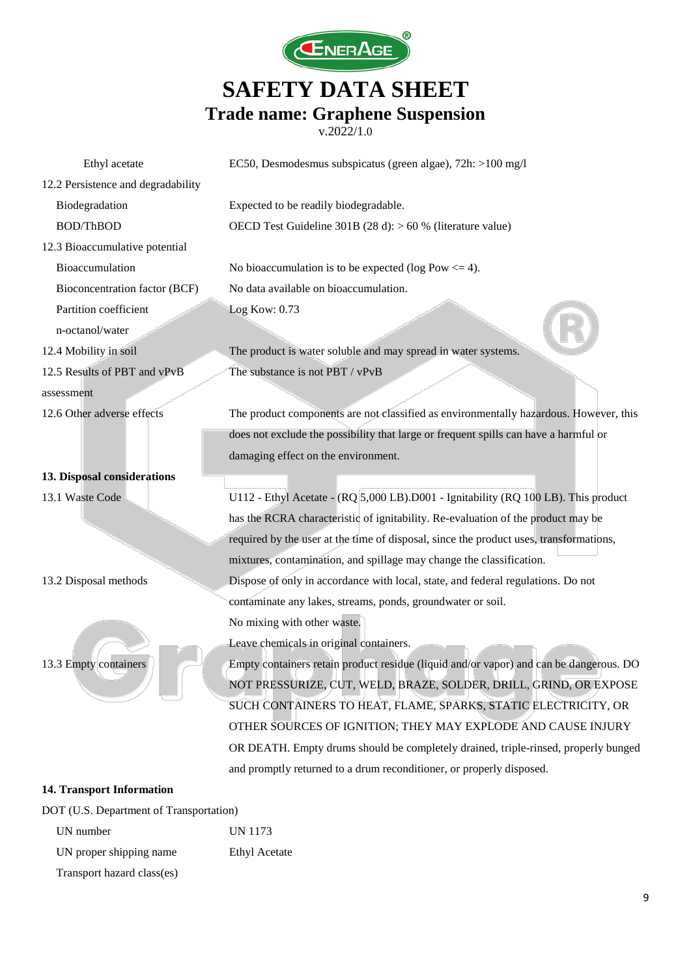

v.2022/1.0

| Ethyl acetate                      | EC50, Desmodesmus subspicatus (green algae), 72h: >100 mg/l                            |
|------------------------------------|----------------------------------------------------------------------------------------|
| 12.2 Persistence and degradability |                                                                                        |
| Biodegradation                     | Expected to be readily biodegradable.                                                  |
| <b>BOD/ThBOD</b>                   | OECD Test Guideline 301B (28 d): $> 60$ % (literature value)                           |
| 12.3 Bioaccumulative potential     |                                                                                        |
| Bioaccumulation                    | No bioaccumulation is to be expected (log Pow $\leq$ 4).                               |
| Bioconcentration factor (BCF)      | No data available on bioaccumulation.                                                  |
| Partition coefficient              | Log Kow: 0.73                                                                          |
| n-octanol/water                    |                                                                                        |
| 12.4 Mobility in soil              | The product is water soluble and may spread in water systems.                          |
| 12.5 Results of PBT and vPvB       | The substance is not PBT / vPvB                                                        |
| assessment                         |                                                                                        |
| 12.6 Other adverse effects         | The product components are not classified as environmentally hazardous. However, this  |
|                                    | does not exclude the possibility that large or frequent spills can have a harmful or   |
|                                    | damaging effect on the environment.                                                    |
| 13. Disposal considerations        |                                                                                        |
| 13.1 Waste Code                    | U112 - Ethyl Acetate - (RQ 5,000 LB).D001 - Ignitability (RQ 100 LB). This product     |
|                                    | has the RCRA characteristic of ignitability. Re-evaluation of the product may be       |
|                                    | required by the user at the time of disposal, since the product uses, transformations, |
|                                    | mixtures, contamination, and spillage may change the classification.                   |
| 13.2 Disposal methods              | Dispose of only in accordance with local, state, and federal regulations. Do not       |
|                                    | contaminate any lakes, streams, ponds, groundwater or soil.                            |
|                                    | No mixing with other waste.                                                            |
|                                    | Leave chemicals in original containers.                                                |
| 13.3 Empty containers              | Empty containers retain product residue (liquid and/or vapor) and can be dangerous. DO |
|                                    | NOT PRESSURIZE, CUT, WELD, BRAZE, SOLDER, DRILL, GRIND, OR EXPOSE                      |
|                                    | SUCH CONTAINERS TO HEAT, FLAME, SPARKS, STATIC ELECTRICITY, OR                         |
|                                    | OTHER SOURCES OF IGNITION; THEY MAY EXPLODE AND CAUSE INJURY                           |
|                                    | OR DEATH. Empty drums should be completely drained, triple-rinsed, properly bunged     |
|                                    | and promptly returned to a drum reconditioner, or properly disposed.                   |
| <b>14. Transport Information</b>   |                                                                                        |

DOT (U.S. Department of Transportation)

UN number UN 1173 UN proper shipping name Ethyl Acetate Transport hazard class(es)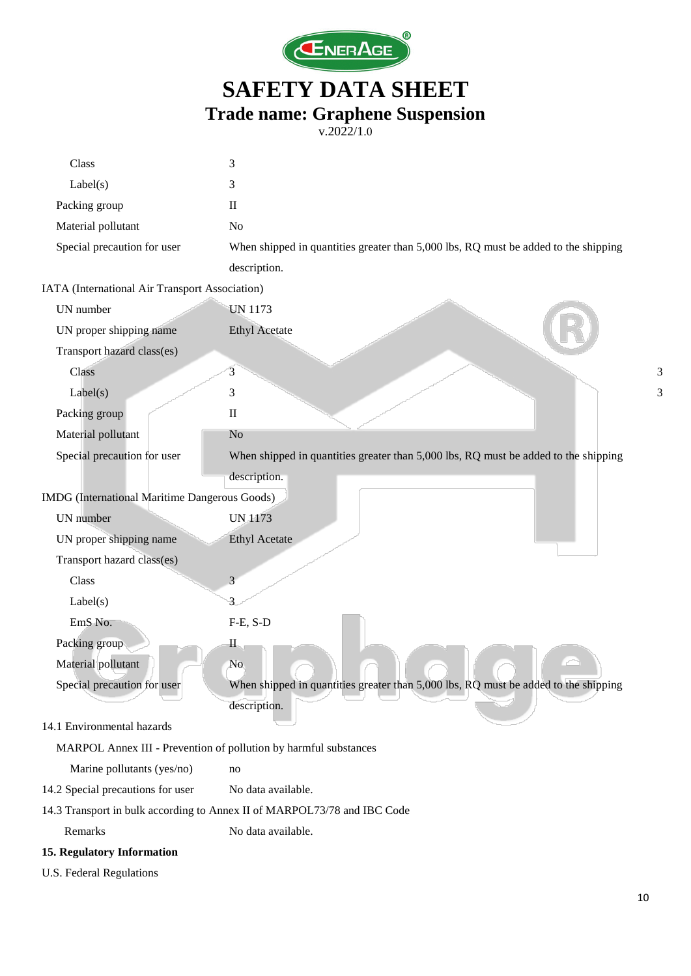

| Class                                                            | 3                                                                                   |   |
|------------------------------------------------------------------|-------------------------------------------------------------------------------------|---|
| Label(s)                                                         | 3                                                                                   |   |
| Packing group                                                    | $\mathbf{I}$                                                                        |   |
| Material pollutant                                               | N <sub>o</sub>                                                                      |   |
| Special precaution for user                                      | When shipped in quantities greater than 5,000 lbs, RQ must be added to the shipping |   |
|                                                                  | description.                                                                        |   |
| IATA (International Air Transport Association)                   |                                                                                     |   |
| UN number                                                        | <b>UN 1173</b>                                                                      |   |
| UN proper shipping name                                          | <b>Ethyl Acetate</b>                                                                |   |
| Transport hazard class(es)                                       |                                                                                     |   |
| Class                                                            | 3                                                                                   | 3 |
| Label(s)                                                         | 3                                                                                   | 3 |
| Packing group                                                    | $\mathbf{I}$                                                                        |   |
| Material pollutant                                               | N <sub>o</sub>                                                                      |   |
| Special precaution for user                                      | When shipped in quantities greater than 5,000 lbs, RQ must be added to the shipping |   |
|                                                                  | description.                                                                        |   |
| IMDG (International Maritime Dangerous Goods)                    |                                                                                     |   |
| UN number                                                        | <b>UN 1173</b>                                                                      |   |
| UN proper shipping name                                          | <b>Ethyl Acetate</b>                                                                |   |
| Transport hazard class(es)                                       |                                                                                     |   |
| Class                                                            | 3                                                                                   |   |
| Label(s)                                                         | 3                                                                                   |   |
| EmS No.                                                          | $F-E, S-D$                                                                          |   |
| Packing group                                                    | $\mathbf{I}$                                                                        |   |
| Material pollutant                                               | N <sub>o</sub>                                                                      |   |
| Special precaution for user                                      | When shipped in quantities greater than 5,000 lbs, RQ must be added to the shipping |   |
|                                                                  | description.                                                                        |   |
| 14.1 Environmental hazards                                       |                                                                                     |   |
| MARPOL Annex III - Prevention of pollution by harmful substances |                                                                                     |   |
| Marine pollutants (yes/no)                                       | no                                                                                  |   |
| 14.2 Special precautions for user                                | No data available.                                                                  |   |
|                                                                  | 14.3 Transport in bulk according to Annex II of MARPOL73/78 and IBC Code            |   |
| Remarks                                                          | No data available.                                                                  |   |
| 15. Regulatory Information                                       |                                                                                     |   |
| U.S. Federal Regulations                                         |                                                                                     |   |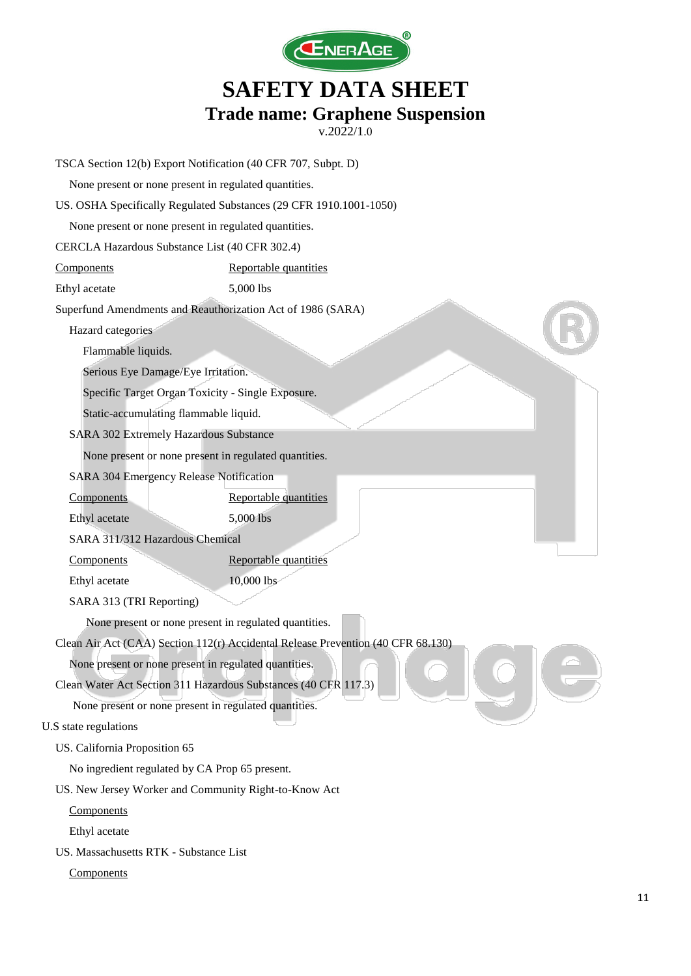

|                                        | TSCA Section 12(b) Export Notification (40 CFR 707, Subpt. D)                    |
|----------------------------------------|----------------------------------------------------------------------------------|
|                                        | None present or none present in regulated quantities.                            |
|                                        | US. OSHA Specifically Regulated Substances (29 CFR 1910.1001-1050)               |
|                                        | None present or none present in regulated quantities.                            |
|                                        | CERCLA Hazardous Substance List (40 CFR 302.4)                                   |
| Components                             | Reportable quantities                                                            |
| Ethyl acetate                          | 5,000 lbs                                                                        |
|                                        | Superfund Amendments and Reauthorization Act of 1986 (SARA)                      |
| Hazard categories                      |                                                                                  |
| Flammable liquids.                     |                                                                                  |
|                                        | Serious Eye Damage/Eye Irritation.                                               |
|                                        | Specific Target Organ Toxicity - Single Exposure.                                |
|                                        | Static-accumulating flammable liquid.                                            |
|                                        | SARA 302 Extremely Hazardous Substance                                           |
|                                        | None present or none present in regulated quantities.                            |
|                                        | SARA 304 Emergency Release Notification                                          |
| Components                             | Reportable quantities                                                            |
| Ethyl acetate                          | 5,000 lbs                                                                        |
| SARA 311/312 Hazardous Chemical        |                                                                                  |
| Components                             | Reportable quantities                                                            |
| Ethyl acetate                          | 10,000 lbs                                                                       |
| SARA 313 (TRI Reporting)               |                                                                                  |
|                                        | None present or none present in regulated quantities.                            |
|                                        | Clean Air Act (CAA) Section 112(r) Accidental Release Prevention (40 CFR 68.130) |
|                                        | None present or none present in regulated quantities.                            |
|                                        | Clean Water Act Section 311 Hazardous Substances (40 CFR 117.3)                  |
|                                        | None present or none present in regulated quantities.                            |
| U.S state regulations                  |                                                                                  |
| US. California Proposition 65          |                                                                                  |
|                                        | No ingredient regulated by CA Prop 65 present.                                   |
|                                        | US. New Jersey Worker and Community Right-to-Know Act                            |
| Components                             |                                                                                  |
| Ethyl acetate                          |                                                                                  |
| US. Massachusetts RTK - Substance List |                                                                                  |
| Components                             |                                                                                  |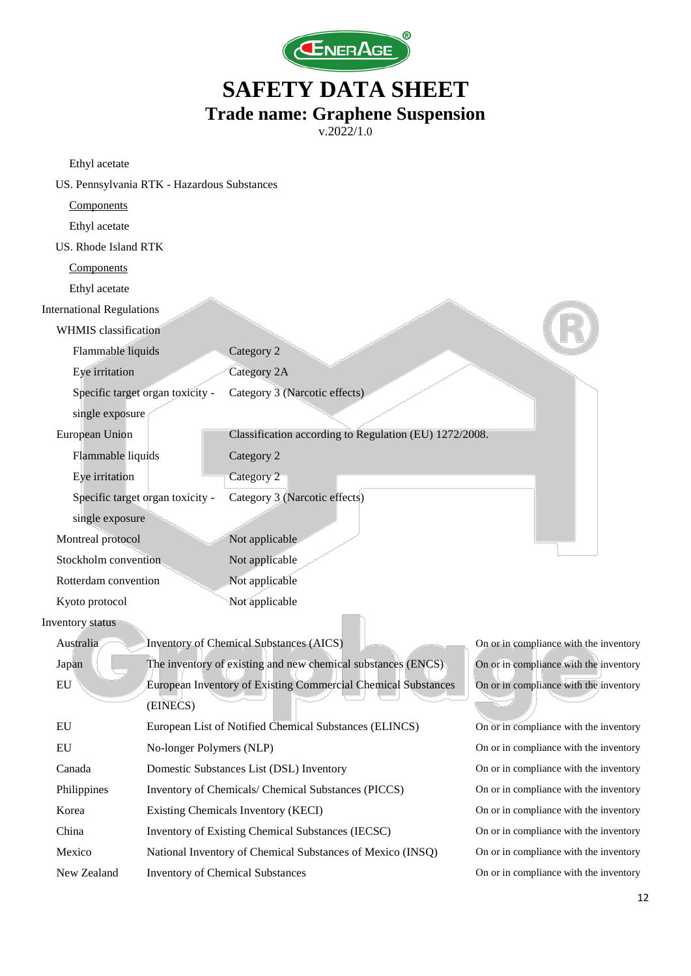

| Ethyl acetate                    |                                             |                                                               |                                        |  |  |
|----------------------------------|---------------------------------------------|---------------------------------------------------------------|----------------------------------------|--|--|
|                                  | US. Pennsylvania RTK - Hazardous Substances |                                                               |                                        |  |  |
| Components                       |                                             |                                                               |                                        |  |  |
| Ethyl acetate                    |                                             |                                                               |                                        |  |  |
| US. Rhode Island RTK             |                                             |                                                               |                                        |  |  |
| Components                       |                                             |                                                               |                                        |  |  |
| Ethyl acetate                    |                                             |                                                               |                                        |  |  |
| <b>International Regulations</b> |                                             |                                                               |                                        |  |  |
| <b>WHMIS</b> classification      |                                             |                                                               |                                        |  |  |
| Flammable liquids                |                                             | Category 2                                                    |                                        |  |  |
| Eye irritation                   |                                             | Category 2A                                                   |                                        |  |  |
|                                  | Specific target organ toxicity -            | Category 3 (Narcotic effects)                                 |                                        |  |  |
| single exposure                  |                                             |                                                               |                                        |  |  |
| European Union                   |                                             | Classification according to Regulation (EU) 1272/2008.        |                                        |  |  |
| Flammable liquids                |                                             | Category 2                                                    |                                        |  |  |
| Eye irritation                   |                                             | Category 2                                                    |                                        |  |  |
|                                  | Specific target organ toxicity -            | Category 3 (Narcotic effects)                                 |                                        |  |  |
| single exposure                  |                                             |                                                               |                                        |  |  |
| Montreal protocol                |                                             | Not applicable                                                |                                        |  |  |
| Stockholm convention             |                                             | Not applicable                                                |                                        |  |  |
| Rotterdam convention             |                                             | Not applicable                                                |                                        |  |  |
| Kyoto protocol                   |                                             | Not applicable                                                |                                        |  |  |
| Inventory status                 |                                             |                                                               |                                        |  |  |
| Australia                        |                                             | Inventory of Chemical Substances (AICS)                       | On or in compliance with the inventory |  |  |
| Japan                            |                                             | The inventory of existing and new chemical substances (ENCS)  | On or in compliance with the inventory |  |  |
| EU                               |                                             | European Inventory of Existing Commercial Chemical Substances | On or in compliance with the inventory |  |  |
|                                  | (EINECS)                                    |                                                               |                                        |  |  |
| EU                               |                                             | European List of Notified Chemical Substances (ELINCS)        | On or in compliance with the inventory |  |  |
| EU                               | No-longer Polymers (NLP)                    |                                                               | On or in compliance with the inventory |  |  |
| Canada                           |                                             | Domestic Substances List (DSL) Inventory                      | On or in compliance with the inventory |  |  |
| Philippines                      |                                             | Inventory of Chemicals/ Chemical Substances (PICCS)           | On or in compliance with the inventory |  |  |
| Korea                            |                                             | Existing Chemicals Inventory (KECI)                           | On or in compliance with the inventory |  |  |
| China                            |                                             | Inventory of Existing Chemical Substances (IECSC)             | On or in compliance with the inventory |  |  |
| Mexico                           |                                             | National Inventory of Chemical Substances of Mexico (INSQ)    | On or in compliance with the inventory |  |  |
| New Zealand                      | <b>Inventory of Chemical Substances</b>     |                                                               | On or in compliance with the inventory |  |  |